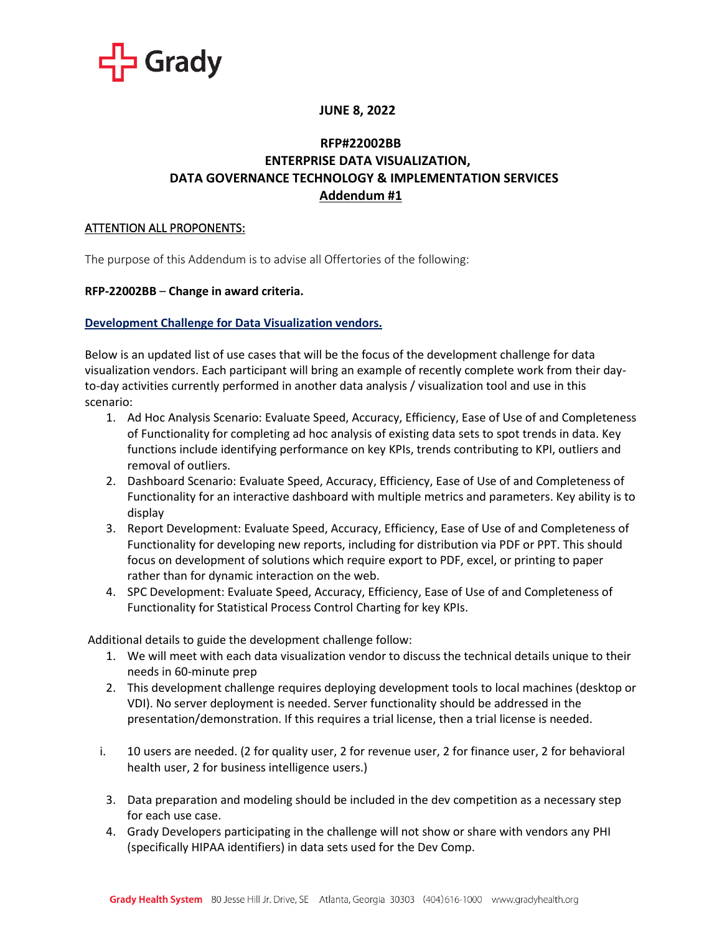

# **JUNE 8, 2022**

# **RFP#22002BB ENTERPRISE DATA VISUALIZATION, DATA GOVERNANCE TECHNOLOGY & IMPLEMENTATION SERVICES Addendum #1**

## ATTENTION ALL PROPONENTS:

The purpose of this Addendum is to advise all Offertories of the following:

### **RFP-22002BB** – **Change in award criteria.**

### **Development Challenge for Data Visualization vendors.**

Below is an updated list of use cases that will be the focus of the development challenge for data visualization vendors. Each participant will bring an example of recently complete work from their dayto-day activities currently performed in another data analysis / visualization tool and use in this scenario:

- 1. Ad Hoc Analysis Scenario: Evaluate Speed, Accuracy, Efficiency, Ease of Use of and Completeness of Functionality for completing ad hoc analysis of existing data sets to spot trends in data. Key functions include identifying performance on key KPIs, trends contributing to KPI, outliers and removal of outliers.
- 2. Dashboard Scenario: Evaluate Speed, Accuracy, Efficiency, Ease of Use of and Completeness of Functionality for an interactive dashboard with multiple metrics and parameters. Key ability is to display
- 3. Report Development: Evaluate Speed, Accuracy, Efficiency, Ease of Use of and Completeness of Functionality for developing new reports, including for distribution via PDF or PPT. This should focus on development of solutions which require export to PDF, excel, or printing to paper rather than for dynamic interaction on the web.
- 4. SPC Development: Evaluate Speed, Accuracy, Efficiency, Ease of Use of and Completeness of Functionality for Statistical Process Control Charting for key KPIs.

Additional details to guide the development challenge follow:

- 1. We will meet with each data visualization vendor to discuss the technical details unique to their needs in 60-minute prep
- 2. This development challenge requires deploying development tools to local machines (desktop or VDI). No server deployment is needed. Server functionality should be addressed in the presentation/demonstration. If this requires a trial license, then a trial license is needed.
- i. 10 users are needed. (2 for quality user, 2 for revenue user, 2 for finance user, 2 for behavioral health user, 2 for business intelligence users.)
	- 3. Data preparation and modeling should be included in the dev competition as a necessary step for each use case.
	- 4. Grady Developers participating in the challenge will not show or share with vendors any PHI (specifically HIPAA identifiers) in data sets used for the Dev Comp.